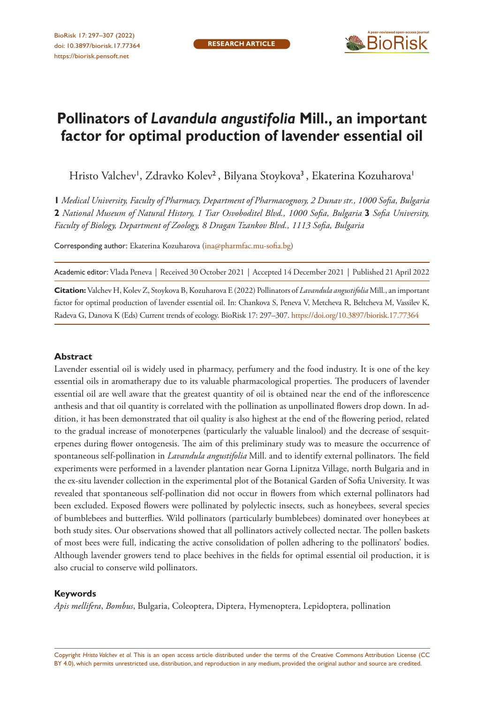

# **Pollinators of** *Lavandula angustifolia* **Mill., an important factor for optimal production of lavender essential oil**

Hristo Valchev<sup>1</sup>, Zdravko Kolev<sup>2</sup>, Bilyana Stoykova<sup>3</sup>, Ekaterina Kozuharova<sup>1</sup>

**1** *Medical University, Faculty of Pharmacy, Department of Pharmacognosy, 2 Dunav str., 1000 Sofia, Bulgaria*  **2** *National Museum of Natural History, 1 Tsar Osvoboditel Blvd., 1000 Sofia, Bulgaria* **3** *Sofia University, Faculty of Biology, Department of Zoology, 8 Dragan Tzankov Blvd., 1113 Sofia, Bulgaria*

Corresponding author: Ekaterina Kozuharova [\(ina@pharmfac.mu-sofia.bg](mailto:ina@pharmfac.mu-sofia.bg))

Academic editor: Vlada Peneva | Received 30 October 2021 | Accepted 14 December 2021 | Published 21 April 2022

**Citation:** Valchev H, Kolev Z, Stoykova B, Kozuharova E (2022) Pollinators of *Lavandula angustifolia* Mill., an important factor for optimal production of lavender essential oil. In: Chankova S, Peneva V, Metcheva R, Beltcheva M, Vassilev K, Radeva G, Danova K (Eds) Current trends of ecology. BioRisk 17: 297–307. <https://doi.org/10.3897/biorisk.17.77364>

#### **Abstract**

Lavender essential oil is widely used in pharmacy, perfumery and the food industry. It is one of the key essential oils in aromatherapy due to its valuable pharmacological properties. The producers of lavender essential oil are well aware that the greatest quantity of oil is obtained near the end of the inflorescence anthesis and that oil quantity is correlated with the pollination as unpollinated flowers drop down. In addition, it has been demonstrated that oil quality is also highest at the end of the flowering period, related to the gradual increase of monoterpenes (particularly the valuable linalool) and the decrease of sesquiterpenes during flower ontogenesis. The aim of this preliminary study was to measure the occurrence of spontaneous self-pollination in *Lavandula angustifolia* Mill. and to identify external pollinators. The field experiments were performed in a lavender plantation near Gorna Lipnitza Village, north Bulgaria and in the ex-situ lavender collection in the experimental plot of the Botanical Garden of Sofia University. It was revealed that spontaneous self-pollination did not occur in flowers from which external pollinators had been excluded. Exposed flowers were pollinated by polylectic insects, such as honeybees, several species of bumblebees and butterflies. Wild pollinators (particularly bumblebees) dominated over honeybees at both study sites. Our observations showed that all pollinators actively collected nectar. The pollen baskets of most bees were full, indicating the active consolidation of pollen adhering to the pollinators' bodies. Although lavender growers tend to place beehives in the fields for optimal essential oil production, it is also crucial to conserve wild pollinators.

#### **Keywords**

*Apis mellifera*, *Bombus*, Bulgaria, Coleoptera, Diptera, Hymenoptera, Lepidoptera, pollination

Copyright *Hristo Valchev et al.* This is an open access article distributed under the terms of the [Creative Commons Attribution License \(CC](http://creativecommons.org/licenses/by/4.0/)  [BY 4.0\)](http://creativecommons.org/licenses/by/4.0/), which permits unrestricted use, distribution, and reproduction in any medium, provided the original author and source are credited.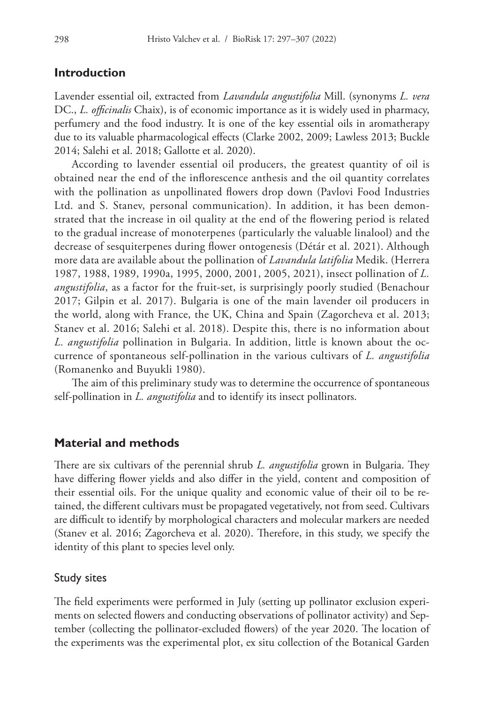### **Introduction**

Lavender essential oil, extracted from *Lavandula angustifolia* Mill. (synonyms *L. vera* DC., *L. officinalis* Chaix), is of economic importance as it is widely used in pharmacy, perfumery and the food industry. It is one of the key essential oils in aromatherapy due to its valuable pharmacological effects (Clarke 2002, 2009; Lawless 2013; Buckle 2014; Salehi et al. 2018; Gallotte et al. 2020).

According to lavender essential oil producers, the greatest quantity of oil is obtained near the end of the inflorescence anthesis and the oil quantity correlates with the pollination as unpollinated flowers drop down (Pavlovi Food Industries Ltd. and S. Stanev, personal communication). In addition, it has been demonstrated that the increase in oil quality at the end of the flowering period is related to the gradual increase of monoterpenes (particularly the valuable linalool) and the decrease of sesquiterpenes during flower ontogenesis (Détár et al. 2021). Although more data are available about the pollination of *Lavandula latifolia* Medik. (Herrera 1987, 1988, 1989, 1990a, 1995, 2000, 2001, 2005, 2021), insect pollination of *L. angustifolia*, as a factor for the fruit-set, is surprisingly poorly studied (Benachour 2017; Gilpin et al. 2017). Bulgaria is one of the main lavender oil producers in the world, along with France, the UK, China and Spain (Zagorcheva et al. 2013; Stanev et al. 2016; Salehi et al. 2018). Despite this, there is no information about *L. angustifolia* pollination in Bulgaria. In addition, little is known about the occurrence of spontaneous self-pollination in the various cultivars of *L. angustifolia* (Romanenko and Buyukli 1980).

The aim of this preliminary study was to determine the occurrence of spontaneous self-pollination in *L. angustifolia* and to identify its insect pollinators.

### **Material and methods**

There are six cultivars of the perennial shrub *L. angustifolia* grown in Bulgaria. They have differing flower yields and also differ in the yield, content and composition of their essential oils. For the unique quality and economic value of their oil to be retained, the different cultivars must be propagated vegetatively, not from seed. Cultivars are difficult to identify by morphological characters and molecular markers are needed (Stanev et al. 2016; Zagorcheva et al. 2020). Therefore, in this study, we specify the identity of this plant to species level only.

#### Study sites

The field experiments were performed in July (setting up pollinator exclusion experiments on selected flowers and conducting observations of pollinator activity) and September (collecting the pollinator-excluded flowers) of the year 2020. The location of the experiments was the experimental plot, ex situ collection of the Botanical Garden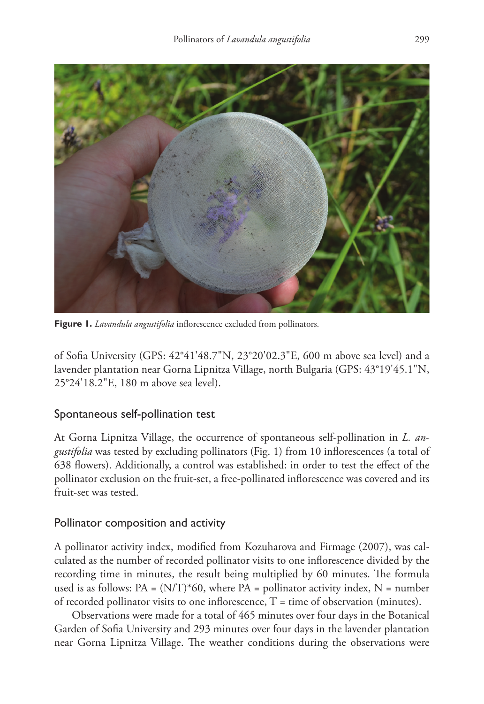

**Figure 1.** *Lavandula angustifolia* inflorescence excluded from pollinators.

of Sofia University (GPS: 42°41'48.7"N, 23°20'02.3"E, 600 m above sea level) and a lavender plantation near Gorna Lipnitza Village, north Bulgaria (GPS: 43°19'45.1"N, 25°24'18.2"E, 180 m above sea level).

# Spontaneous self-pollination test

At Gorna Lipnitza Village, the occurrence of spontaneous self-pollination in *L. angustifolia* was tested by excluding pollinators (Fig. 1) from 10 inflorescences (a total of 638 flowers). Additionally, a control was established: in order to test the effect of the pollinator exclusion on the fruit-set, a free-pollinated inflorescence was covered and its fruit-set was tested.

# Pollinator composition and activity

A pollinator activity index, modified from Kozuharova and Firmage (2007), was calculated as the number of recorded pollinator visits to one inflorescence divided by the recording time in minutes, the result being multiplied by 60 minutes. The formula used is as follows:  $PA = (N/T)^*60$ , where  $PA =$  pollinator activity index,  $N =$  number of recorded pollinator visits to one inflorescence,  $T =$  time of observation (minutes).

Observations were made for a total of 465 minutes over four days in the Botanical Garden of Sofia University and 293 minutes over four days in the lavender plantation near Gorna Lipnitza Village. The weather conditions during the observations were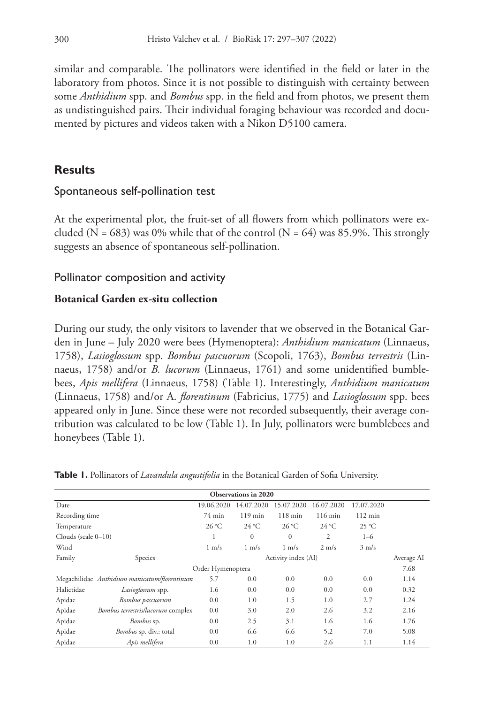similar and comparable. The pollinators were identified in the field or later in the laboratory from photos. Since it is not possible to distinguish with certainty between some *Anthidium* spp. and *Bombus* spp. in the field and from photos, we present them as undistinguished pairs. Their individual foraging behaviour was recorded and documented by pictures and videos taken with a Nikon D5100 camera.

# **Results**

### Spontaneous self-pollination test

At the experimental plot, the fruit-set of all flowers from which pollinators were excluded (N = 683) was 0% while that of the control (N = 64) was 85.9%. This strongly suggests an absence of spontaneous self-pollination.

# Pollinator composition and activity

### **Botanical Garden ex-situ collection**

During our study, the only visitors to lavender that we observed in the Botanical Garden in June – July 2020 were bees (Hymenoptera): *Anthidium manicatum* (Linnaeus, 1758), *Lasioglossum* spp. *Bombus pascuorum* (Scopoli, 1763), *Bombus terrestris* (Linnaeus, 1758) and/or *B. lucorum* (Linnaeus, 1761) and some unidentified bumblebees, *Apis mellifera* (Linnaeus, 1758) (Table 1). Interestingly, *Anthidium manicatum* (Linnaeus, 1758) and/or A. *florentinum* (Fabricius, 1775) and *Lasioglossum* spp. bees appeared only in June. Since these were not recorded subsequently, their average contribution was calculated to be low (Table 1). In July, pollinators were bumblebees and honeybees (Table 1).

| <b>Observations in 2020</b> |                                              |                 |                     |                 |                 |                   |      |  |  |  |  |  |  |
|-----------------------------|----------------------------------------------|-----------------|---------------------|-----------------|-----------------|-------------------|------|--|--|--|--|--|--|
|                             |                                              |                 |                     |                 |                 |                   |      |  |  |  |  |  |  |
| Date                        |                                              | 19.06.2020      | 14.07.2020          | 15.07.2020      | 16.07.2020      | 17.07.2020        |      |  |  |  |  |  |  |
| Recording time              |                                              | $74$ min        | $119$ min           | $118$ min       | $116$ min       | $112 \text{ min}$ |      |  |  |  |  |  |  |
| Temperature                 |                                              | $26^{\circ}$ C  | $24^{\circ}$ C      | $26^{\circ}$ C  | $24^{\circ}$ C  | 25 °C             |      |  |  |  |  |  |  |
| Clouds (scale $0-10$ )      |                                              |                 | $\mathbf{0}$        | $\mathbf{0}$    | 2               | $1 - 6$           |      |  |  |  |  |  |  |
| Wind                        |                                              | $1 \text{ m/s}$ | $1 \text{ m/s}$     | $1 \text{ m/s}$ | $2 \text{ m/s}$ | $3 \text{ m/s}$   |      |  |  |  |  |  |  |
| Family                      | Species                                      |                 | Activity index (AI) |                 |                 |                   |      |  |  |  |  |  |  |
| Order Hymenoptera           |                                              |                 |                     |                 |                 |                   |      |  |  |  |  |  |  |
|                             | Megachilidae Anthidium manicatum/florentinum | 5.7             | 0.0                 | 0.0             | 0.0             | 0.0               | 1.14 |  |  |  |  |  |  |
| Halictidae                  | Lasioglossum spp.                            | 1.6             | 0.0                 | 0.0             | 0.0             | 0.0               | 0.32 |  |  |  |  |  |  |
| Apidae                      | Bombus pascuorum                             | 0.0             | 1.0                 | 1.5             | 1.0             | 2.7               | 1.24 |  |  |  |  |  |  |
| Apidae                      | Bombus terrestris/lucorum complex            | 0.0             | 3.0                 | 2.0             | 2.6             | 3.2               | 2.16 |  |  |  |  |  |  |
| Apidae                      | Bombus sp.                                   | 0.0             | 2.5                 | 3.1             | 1.6             | 1.6               | 1.76 |  |  |  |  |  |  |
| Apidae                      | Bombus sp. div.: total                       | 0.0             | 6.6                 | 6.6             | 5.2             | 7.0               | 5.08 |  |  |  |  |  |  |
| Apidae                      | Apis mellifera                               | 0.0             | 1.0                 | 1.0             | 2.6             | 1.1               | 1.14 |  |  |  |  |  |  |

**Table 1.** Pollinators of *Lavandula angustifolia* in the Botanical Garden of Sofia University.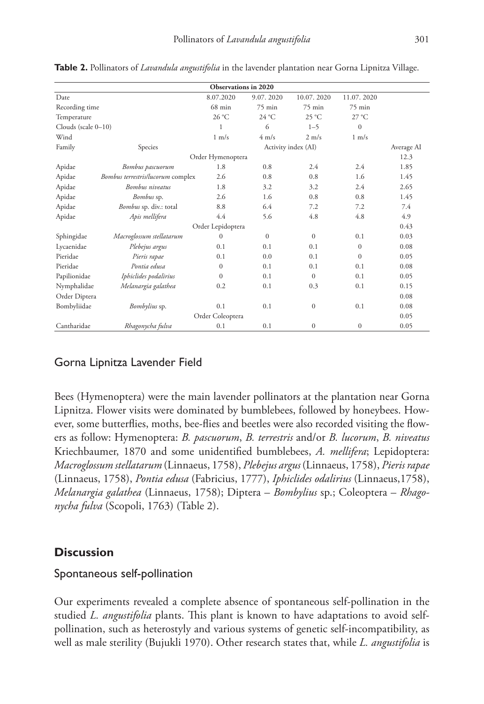| Observations in 2020 |                                   |                   |                     |                 |                 |      |  |  |  |
|----------------------|-----------------------------------|-------------------|---------------------|-----------------|-----------------|------|--|--|--|
| Date                 |                                   | 8.07.2020         | 9.07.2020           | 10.07.2020      | 11.07.2020      |      |  |  |  |
| Recording time       |                                   | $68$ min          | $75 \text{ min}$    | 75 min          | $75$ min        |      |  |  |  |
| Temperature          |                                   | 26 °C             | $24^{\circ}$ C      | 25 °C           | $27^{\circ}$ C  |      |  |  |  |
| Clouds (scale 0-10)  |                                   | 1                 | 6                   | $1 - 5$         | $\mathbf{0}$    |      |  |  |  |
| Wind                 |                                   | $1 \text{ m/s}$   | $4 \text{ m/s}$     | $2 \text{ m/s}$ | $1 \text{ m/s}$ |      |  |  |  |
| Family               | Species                           |                   | Activity index (AI) |                 |                 |      |  |  |  |
|                      |                                   | Order Hymenoptera |                     |                 |                 | 12.3 |  |  |  |
| Apidae               | Bombus pascuorum                  | 1.8               | 0.8                 | 2.4             | 2.4             | 1.85 |  |  |  |
| Apidae               | Bombus terrestris/lucorum complex | 2.6               | 0.8                 | 0.8             | 1.6             | 1.45 |  |  |  |
| Apidae               | <b>Bombus</b> niveatus            | 1.8               | 3.2                 | 3.2             | 2.4             | 2.65 |  |  |  |
| Apidae               | Bombus sp.                        | 2.6               | 1.6                 | 0.8             | 0.8             | 1.45 |  |  |  |
| Apidae               | Bombus sp. div.: total            | 8.8               | 6.4                 | 7.2             | 7.2             | 7.4  |  |  |  |
| Apidae               | Apis mellifera                    | 4.4               | 5.6                 | 4.8             | 4.8             | 4.9  |  |  |  |
|                      |                                   | Order Lepidoptera |                     |                 |                 | 0.43 |  |  |  |
| Sphingidae           | Macroglossum stellatarum          | $\mathbf{0}$      | $\overline{0}$      | $\mathbf{0}$    | 0.1             | 0.03 |  |  |  |
| Lycaenidae           | Plebejus argus                    | 0.1               | 0.1                 | 0.1             | $\mathbf{0}$    | 0.08 |  |  |  |
| Pieridae             | Pieris rapae                      | 0.1               | 0.0                 | 0.1             | $\Omega$        | 0.05 |  |  |  |
| Pieridae             | Pontia edusa                      | $\mathbf{0}$      | 0.1                 | 0.1             | 0.1             | 0.08 |  |  |  |
| Papilionidae         | Iphiclides podalirius             | $\Omega$          | 0.1                 | $\Omega$        | 0.1             | 0.05 |  |  |  |
| Nymphalidae          | Melanargia galathea               | 0.2               | 0.1                 | 0.3             | 0.1             | 0.15 |  |  |  |
| Order Diptera        |                                   |                   |                     |                 |                 | 0.08 |  |  |  |
| Bombyliidae          | Bombylius sp.                     | 0.1               | 0.1                 | $\mathbf{0}$    | 0.1             | 0.08 |  |  |  |
|                      |                                   | Order Coleoptera  |                     |                 |                 | 0.05 |  |  |  |
| Cantharidae          | Rhagonycha fulva                  | 0.1               | 0.1                 | $\mathbf{0}$    | $\mathbf{0}$    | 0.05 |  |  |  |

**Table 2.** Pollinators of *Lavandula angustifolia* in the lavender plantation near Gorna Lipnitza Village.

# Gorna Lipnitza Lavender Field

Bees (Hymenoptera) were the main lavender pollinators at the plantation near Gorna Lipnitza. Flower visits were dominated by bumblebees, followed by honeybees. However, some butterflies, moths, bee-flies and beetles were also recorded visiting the flowers as follow: Hymenoptera: *B. pascuorum*, *B. terrestris* and/or *B. lucorum*, *B. niveatus* Kriechbaumer, 1870 and some unidentified bumblebees, *A. mellifera*; Lepidoptera: *Macroglossum stellatarum* (Linnaeus, 1758), *Plebejus argus* (Linnaeus, 1758), *Pieris rapae* (Linnaeus, 1758), *Pontia edusa* (Fabricius, 1777), *Iphiclides odalirius* (Linnaeus,1758), *Melanargia galathea* (Linnaeus, 1758); Diptera – *Bombylius* sp.; Coleoptera – *Rhagonycha fulva* (Scopoli, 1763) (Table 2).

### **Discussion**

### Spontaneous self-pollination

Our experiments revealed a complete absence of spontaneous self-pollination in the studied *L. angustifolia* plants. This plant is known to have adaptations to avoid selfpollination, such as heterostyly and various systems of genetic self-incompatibility, as well as male sterility (Bujukli 1970). Other research states that, while *L. angustifolia* is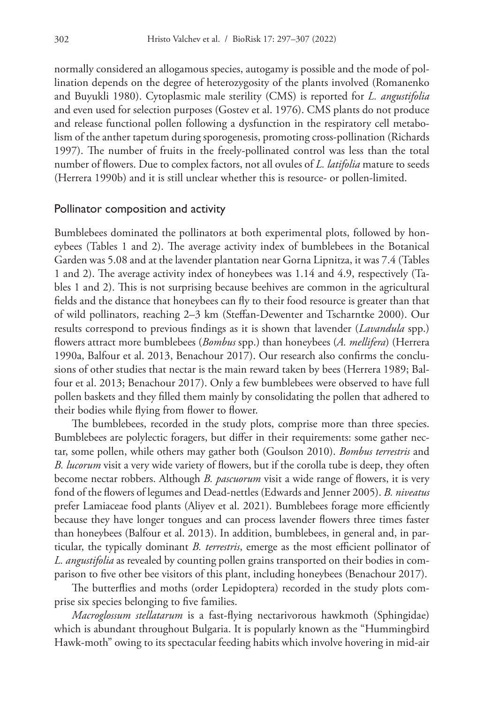normally considered an allogamous species, autogamy is possible and the mode of pollination depends on the degree of heterozygosity of the plants involved (Romanenko and Buyukli 1980). Cytoplasmic male sterility (CMS) is reported for *L. angustifolia* and even used for selection purposes (Gostev et al. 1976). CMS plants do not produce and release functional pollen following a dysfunction in the respiratory cell metabolism of the anther tapetum during sporogenesis, promoting cross-pollination (Richards 1997). The number of fruits in the freely-pollinated control was less than the total number of flowers. Due to complex factors, not all ovules of *L. latifolia* mature to seeds (Herrera 1990b) and it is still unclear whether this is resource- or pollen-limited.

### Pollinator composition and activity

Bumblebees dominated the pollinators at both experimental plots, followed by honeybees (Tables 1 and 2). The average activity index of bumblebees in the Botanical Garden was 5.08 and at the lavender plantation near Gorna Lipnitza, it was 7.4 (Tables 1 and 2). The average activity index of honeybees was 1.14 and 4.9, respectively (Tables 1 and 2). This is not surprising because beehives are common in the agricultural fields and the distance that honeybees can fly to their food resource is greater than that of wild pollinators, reaching 2–3 km (Steffan-Dewenter and Tscharntke 2000). Our results correspond to previous findings as it is shown that lavender (*Lavandula* spp.) flowers attract more bumblebees (*Bombus* spp.) than honeybees (*A. mellifera*) (Herrera 1990a, Balfour et al. 2013, Benachour 2017). Our research also confirms the conclusions of other studies that nectar is the main reward taken by bees (Herrera 1989; Balfour et al. 2013; Benachour 2017). Only a few bumblebees were observed to have full pollen baskets and they filled them mainly by consolidating the pollen that adhered to their bodies while flying from flower to flower.

The bumblebees, recorded in the study plots, comprise more than three species. Bumblebees are polylectic foragers, but differ in their requirements: some gather nectar, some pollen, while others may gather both (Goulson 2010). *Bombus terrestris* and *B. lucorum* visit a very wide variety of flowers, but if the corolla tube is deep, they often become nectar robbers. Although *B. pascuorum* visit a wide range of flowers, it is very fond of the flowers of legumes and Dead-nettles (Edwards and Jenner 2005). *B. niveatus* prefer Lamiaceae food plants (Aliyev et al. 2021). Bumblebees forage more efficiently because they have longer tongues and can process lavender flowers three times faster than honeybees (Balfour et al. 2013). In addition, bumblebees, in general and, in particular, the typically dominant *B. terrestris*, emerge as the most efficient pollinator of *L. angustifolia* as revealed by counting pollen grains transported on their bodies in comparison to five other bee visitors of this plant, including honeybees (Benachour 2017).

The butterflies and moths (order Lepidoptera) recorded in the study plots comprise six species belonging to five families.

*Macroglossum stellatarum* is a fast-flying nectarivorous hawkmoth (Sphingidae) which is abundant throughout Bulgaria. It is popularly known as the "Hummingbird Hawk-moth" owing to its spectacular feeding habits which involve hovering in mid-air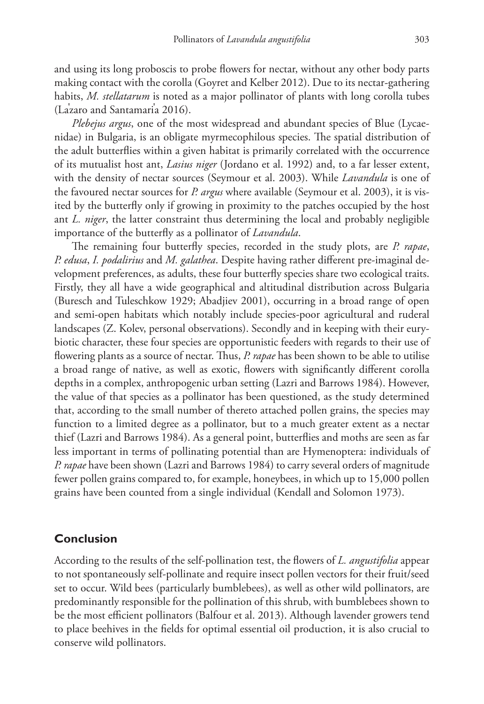and using its long proboscis to probe flowers for nectar, without any other body parts making contact with the corolla (Goyret and Kelber 2012). Due to its nectar-gathering habits, *M. stellatarum* is noted as a major pollinator of plants with long corolla tubes (La' zaro and Santamari' a 2016).

*Plebejus argus*, one of the most widespread and abundant species of Blue (Lycaenidae) in Bulgaria, is an obligate myrmecophilous species. The spatial distribution of the adult butterflies within a given habitat is primarily correlated with the occurrence of its mutualist host ant, *Lasius niger* (Jordano et al. 1992) and, to a far lesser extent, with the density of nectar sources (Seymour et al. 2003). While *Lavandula* is one of the favoured nectar sources for *P. argus* where available (Seymour et al. 2003), it is visited by the butterfly only if growing in proximity to the patches occupied by the host ant *L. niger*, the latter constraint thus determining the local and probably negligible importance of the butterfly as a pollinator of *Lavandula*.

The remaining four butterfly species, recorded in the study plots, are *P. rapae*, *P. edusa*, *I. podalirius* and *M. galathea*. Despite having rather different pre-imaginal development preferences, as adults, these four butterfly species share two ecological traits. Firstly, they all have a wide geographical and altitudinal distribution across Bulgaria (Buresch and Tuleschkow 1929; Abadjiev 2001), occurring in a broad range of open and semi-open habitats which notably include species-poor agricultural and ruderal landscapes (Z. Kolev, personal observations). Secondly and in keeping with their eurybiotic character, these four species are opportunistic feeders with regards to their use of flowering plants as a source of nectar. Thus, *P. rapae* has been shown to be able to utilise a broad range of native, as well as exotic, flowers with significantly different corolla depths in a complex, anthropogenic urban setting (Lazri and Barrows 1984). However, the value of that species as a pollinator has been questioned, as the study determined that, according to the small number of thereto attached pollen grains, the species may function to a limited degree as a pollinator, but to a much greater extent as a nectar thief (Lazri and Barrows 1984). As a general point, butterflies and moths are seen as far less important in terms of pollinating potential than are Hymenoptera: individuals of *P. rapae* have been shown (Lazri and Barrows 1984) to carry several orders of magnitude fewer pollen grains compared to, for example, honeybees, in which up to 15,000 pollen grains have been counted from a single individual (Kendall and Solomon 1973).

### **Conclusion**

According to the results of the self-pollination test, the flowers of *L. angustifolia* appear to not spontaneously self-pollinate and require insect pollen vectors for their fruit/seed set to occur. Wild bees (particularly bumblebees), as well as other wild pollinators, are predominantly responsible for the pollination of this shrub, with bumblebees shown to be the most efficient pollinators (Balfour et al. 2013). Although lavender growers tend to place beehives in the fields for optimal essential oil production, it is also crucial to conserve wild pollinators.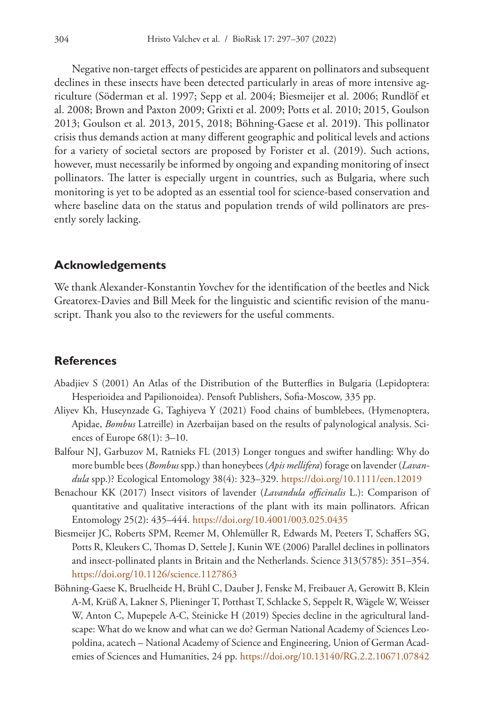Negative non-target effects of pesticides are apparent on pollinators and subsequent declines in these insects have been detected particularly in areas of more intensive agriculture (Söderman et al. 1997; Sepp et al. 2004; Biesmeijer et al. 2006; Rundlöf et al. 2008; Brown and Paxton 2009; Grixti et al. 2009; Potts et al. 2010; 2015, Goulson 2013; Goulson et al. 2013, 2015, 2018; Böhning-Gaese et al. 2019**)**. This pollinator crisis thus demands action at many different geographic and political levels and actions for a variety of societal sectors are proposed by Forister et al. (2019). Such actions, however, must necessarily be informed by ongoing and expanding monitoring of insect pollinators. The latter is especially urgent in countries, such as Bulgaria, where such monitoring is yet to be adopted as an essential tool for science-based conservation and where baseline data on the status and population trends of wild pollinators are presently sorely lacking.

### **Acknowledgements**

We thank Alexander-Konstantin Yovchev for the identification of the beetles and Nick Greatorex-Davies and Bill Meek for the linguistic and scientific revision of the manuscript. Thank you also to the reviewers for the useful comments.

### **References**

- Abadjiev S (2001) An Atlas of the Distribution of the Butterflies in Bulgaria (Lepidoptera: Hesperioidea and Papilionoidea). Pensoft Publishers, Sofia-Moscow, 335 pp.
- Aliyev Kh, Huseynzade G, Taghiyeva Y (2021) Food chains of bumblebees, (Hymenoptera, Apidae, *Bombus* Latreille) in Azerbaijan based on the results of palynological analysis. Sciences of Europe 68(1): 3–10.
- Balfour NJ, Garbuzov M, Ratnieks FL (2013) Longer tongues and swifter handling: Why do more bumble bees (*Bombus* spp.) than honeybees (*Apis mellifera*) forage on lavender (*Lavandula* spp.)? Ecological Entomology 38(4): 323–329. <https://doi.org/10.1111/een.12019>
- Benachour KK (2017) Insect visitors of lavender (*Lavandula officinalis* L.): Comparison of quantitative and qualitative interactions of the plant with its main pollinators. African Entomology 25(2): 435–444.<https://doi.org/10.4001/003.025.0435>
- Biesmeijer JC, Roberts SPM, Reemer M, Ohlemüller R, Edwards M, Peeters T, Schaffers SG, Potts R, Kleukers C, Thomas D, Settele J, Kunin WE (2006) Parallel declines in pollinators and insect-pollinated plants in Britain and the Netherlands. Science 313(5785): 351–354. <https://doi.org/10.1126/science.1127863>
- Böhning-Gaese K, Bruelheide H, Brühl C, Dauber J, Fenske M, Freibauer A, Gerowitt B, Klein A-M, Krüß A, Lakner S, Plieninger T, Potthast T, Schlacke S, Seppelt R, Wägele W, Weisser W, Anton C, Mupepele A-C, Steinicke H (2019) Species decline in the agricultural landscape: What do we know and what can we do? German National Academy of Sciences Leopoldina, acatech – National Academy of Science and Engineering, Union of German Academies of Sciences and Humanities, 24 pp.<https://doi.org/10.13140/RG.2.2.10671.07842>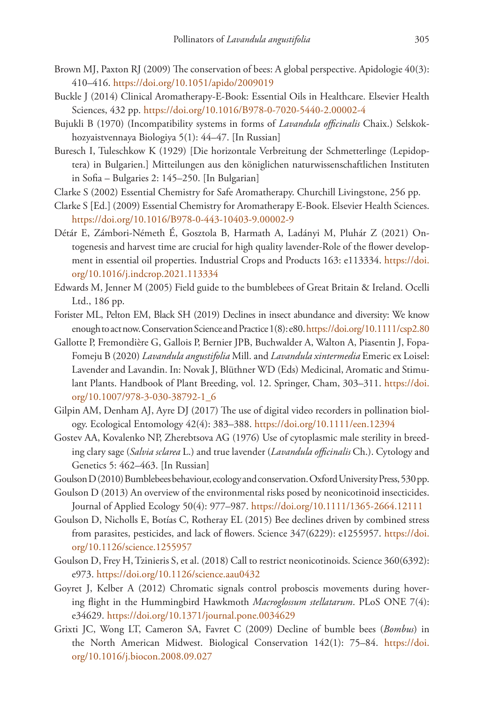- Brown MJ, Paxton RJ (2009) The conservation of bees: A global perspective. Apidologie 40(3): 410–416.<https://doi.org/10.1051/apido/2009019>
- Buckle J (2014) Clinical Aromatherapy-E-Book: Essential Oils in Healthcare. Elsevier Health Sciences, 432 pp. <https://doi.org/10.1016/B978-0-7020-5440-2.00002-4>
- Bujukli B (1970) (Incompatibility systems in forms of *Lavandula officinalis* Chaix.) Selskokhozyaistvennaya Biologiya 5(1): 44–47. [In Russian]
- Buresch I, Tuleschkow K (1929) [Die horizontale Verbreitung der Schmetterlinge (Lepidoptera) in Bulgarien.] Mitteilungen aus den königlichen naturwissenschaftlichen Instituten in Sofia – Bulgaries 2: 145–250. [In Bulgarian]
- Clarke S (2002) Essential Chemistry for Safe Aromatherapy. Churchill Livingstone, 256 pp.
- Clarke S [Ed.] (2009) Essential Chemistry for Aromatherapy E-Book. Elsevier Health Sciences. <https://doi.org/10.1016/B978-0-443-10403-9.00002-9>
- Détár E, Zámbori-Németh É, Gosztola B, Harmath A, Ladányi M, Pluhár Z (2021) Ontogenesis and harvest time are crucial for high quality lavender-Role of the flower development in essential oil properties. Industrial Crops and Products 163: e113334. [https://doi.](https://doi.org/10.1016/j.indcrop.2021.113334) [org/10.1016/j.indcrop.2021.113334](https://doi.org/10.1016/j.indcrop.2021.113334)
- Edwards M, Jenner M (2005) Field guide to the bumblebees of Great Britain & Ireland. Ocelli Ltd., 186 pp.
- Forister ML, Pelton EM, Black SH (2019) Declines in insect abundance and diversity: We know enough to act now. Conservation Science and Practice 1(8): e80.<https://doi.org/10.1111/csp2.80>
- Gallotte P, Fremondière G, Gallois P, Bernier JPB, Buchwalder A, Walton A, Piasentin J, Fopa-Fomeju B (2020) *Lavandula angustifolia* Mill. and *Lavandula xintermedia* Emeric ex Loisel: Lavender and Lavandin. In: Novak J, Blüthner WD (Eds) Medicinal, Aromatic and Stimulant Plants. Handbook of Plant Breeding, vol. 12. Springer, Cham, 303–311. [https://doi.](https://doi.org/10.1007/978-3-030-38792-1_6) [org/10.1007/978-3-030-38792-1\\_6](https://doi.org/10.1007/978-3-030-38792-1_6)
- Gilpin AM, Denham AJ, Ayre DJ (2017) The use of digital video recorders in pollination biology. Ecological Entomology 42(4): 383–388.<https://doi.org/10.1111/een.12394>
- Gostev AA, Kovalenko NP, Zherebtsova AG (1976) Use of cytoplasmic male sterility in breeding clary sage (*Salvia sclarea* L.) and true lavender (*Lavandula officinalis* Ch.). Cytology and Genetics 5: 462–463. [In Russian]
- Goulson D (2010) Bumblebees behaviour, ecology and conservation. Oxford University Press, 530 pp.
- Goulson D (2013) An overview of the environmental risks posed by neonicotinoid insecticides. Journal of Applied Ecology 50(4): 977–987. <https://doi.org/10.1111/1365-2664.12111>
- Goulson D, Nicholls E, Botías C, Rotheray EL (2015) Bee declines driven by combined stress from parasites, pesticides, and lack of flowers. Science 347(6229): e1255957. [https://doi.](https://doi.org/10.1126/science.1255957) [org/10.1126/science.1255957](https://doi.org/10.1126/science.1255957)
- Goulson D, Frey H, Tzinieris S, et al. (2018) Call to restrict neonicotinoids. Science 360(6392): e973.<https://doi.org/10.1126/science.aau0432>
- Goyret J, Kelber A (2012) Chromatic signals control proboscis movements during hovering flight in the Hummingbird Hawkmoth *Macroglossum stellatarum*. PLoS ONE 7(4): e34629.<https://doi.org/10.1371/journal.pone.0034629>
- Grixti JC, Wong LT, Cameron SA, Favret C (2009) Decline of bumble bees (*Bombus*) in the North American Midwest. Biological Conservation 142(1): 75–84. [https://doi.](https://doi.org/10.1016/j.biocon.2008.09.027) [org/10.1016/j.biocon.2008.09.027](https://doi.org/10.1016/j.biocon.2008.09.027)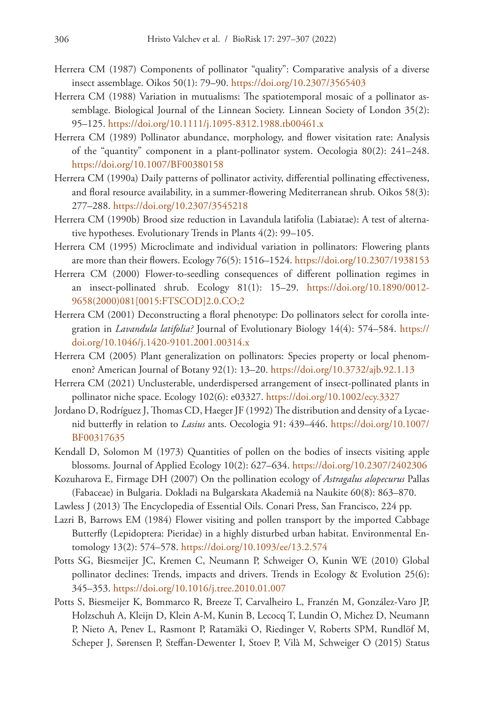- Herrera CM (1987) Components of pollinator "quality": Comparative analysis of a diverse insect assemblage. Oikos 50(1): 79–90. <https://doi.org/10.2307/3565403>
- Herrera CM (1988) Variation in mutualisms: The spatiotemporal mosaic of a pollinator assemblage. Biological Journal of the Linnean Society. Linnean Society of London 35(2): 95–125.<https://doi.org/10.1111/j.1095-8312.1988.tb00461.x>
- Herrera CM (1989) Pollinator abundance, morphology, and flower visitation rate: Analysis of the "quantity" component in a plant-pollinator system. Oecologia 80(2): 241–248. <https://doi.org/10.1007/BF00380158>
- Herrera CM (1990a) Daily patterns of pollinator activity, differential pollinating effectiveness, and floral resource availability, in a summer-flowering Mediterranean shrub. Oikos 58(3): 277–288.<https://doi.org/10.2307/3545218>
- Herrera CM (1990b) Brood size reduction in Lavandula latifolia (Labiatae): A test of alternative hypotheses. Evolutionary Trends in Plants 4(2): 99–105.
- Herrera CM (1995) Microclimate and individual variation in pollinators: Flowering plants are more than their flowers. Ecology 76(5): 1516–1524.<https://doi.org/10.2307/1938153>
- Herrera CM (2000) Flower-to-seedling consequences of different pollination regimes in an insect-pollinated shrub. Ecology 81(1): 15–29. [https://doi.org/10.1890/0012-](https://doi.org/10.1890/0012-9658(2000)081%5B0015:FTSCOD%5D2.0.CO;2) [9658\(2000\)081\[0015:FTSCOD\]2.0.CO;2](https://doi.org/10.1890/0012-9658(2000)081%5B0015:FTSCOD%5D2.0.CO;2)
- Herrera CM (2001) Deconstructing a floral phenotype: Do pollinators select for corolla integration in *Lavandula latifolia?* Journal of Evolutionary Biology 14(4): 574–584. [https://](https://doi.org/10.1046/j.1420-9101.2001.00314.x) [doi.org/10.1046/j.1420-9101.2001.00314.x](https://doi.org/10.1046/j.1420-9101.2001.00314.x)
- Herrera CM (2005) Plant generalization on pollinators: Species property or local phenomenon? American Journal of Botany 92(1): 13–20. <https://doi.org/10.3732/ajb.92.1.13>
- Herrera CM (2021) Unclusterable, underdispersed arrangement of insect-pollinated plants in pollinator niche space. Ecology 102(6): e03327.<https://doi.org/10.1002/ecy.3327>
- Jordano D, Rodríguez J, Thomas CD, Haeger JF (1992) The distribution and density of a Lycaenid butterfly in relation to *Lasius* ants. Oecologia 91: 439–446. [https://doi.org/10.1007/](https://doi.org/10.1007/BF00317635) [BF00317635](https://doi.org/10.1007/BF00317635)
- Kendall D, Solomon M (1973) Quantities of pollen on the bodies of insects visiting apple blossoms. Journal of Applied Ecology 10(2): 627–634. <https://doi.org/10.2307/2402306>
- Kozuharova E, Firmage DH (2007) On the pollination ecology of *Astragalus alopecurus* Pallas (Fabaceae) in Bulgaria. Dokladi na Bulgarskata Akademiâ na Naukite 60(8): 863–870.
- Lawless J (2013) The Encyclopedia of Essential Oils. Conari Press, San Francisco, 224 pp.
- Lazri B, Barrows EM (1984) Flower visiting and pollen transport by the imported Cabbage Butterfly (Lepidoptera: Pieridae) in a highly disturbed urban habitat. Environmental Entomology 13(2): 574–578.<https://doi.org/10.1093/ee/13.2.574>
- Potts SG, Biesmeijer JC, Kremen C, Neumann P, Schweiger O, Kunin WE (2010) Global pollinator declines: Trends, impacts and drivers. Trends in Ecology & Evolution 25(6): 345–353.<https://doi.org/10.1016/j.tree.2010.01.007>
- Potts S, Biesmeijer K, Bommarco R, Breeze T, Carvalheiro L, Franzén M, González-Varo JP, Holzschuh A, Kleijn D, Klein A-M, Kunin B, Lecocq T, Lundin O, Michez D, Neumann P, Nieto A, Penev L, Rasmont P, Ratamäki O, Riedinger V, Roberts SPM, Rundlöf M, Scheper J, Sørensen P, Steffan-Dewenter I, Stoev P, Vilà M, Schweiger O (2015) Status